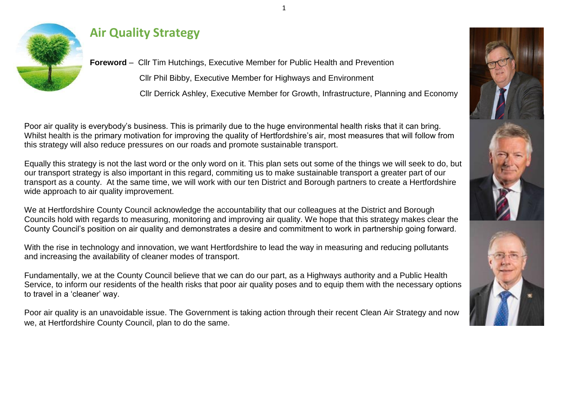

#### **Air Quality Strategy**

**Foreword** – Cllr Tim Hutchings, Executive Member for Public Health and Prevention Cllr Phil Bibby, Executive Member for Highways and Environment Cllr Derrick Ashley, Executive Member for Growth, Infrastructure, Planning and Economy

Poor air quality is everybody's business. This is primarily due to the huge environmental health risks that it can bring. Whilst health is the primary motivation for improving the quality of Hertfordshire's air, most measures that will follow from this strategy will also reduce pressures on our roads and promote sustainable transport.

Equally this strategy is not the last word or the only word on it. This plan sets out some of the things we will seek to do, but our transport strategy is also important in this regard, commiting us to make sustainable transport a greater part of our transport as a county. At the same time, we will work with our ten District and Borough partners to create a Hertfordshire wide approach to air quality improvement.

We at Hertfordshire County Council acknowledge the accountability that our colleagues at the District and Borough Councils hold with regards to measuring, monitoring and improving air quality. We hope that this strategy makes clear the County Council's position on air quality and demonstrates a desire and commitment to work in partnership going forward.

With the rise in technology and innovation, we want Hertfordshire to lead the way in measuring and reducing pollutants and increasing the availability of cleaner modes of transport.

Fundamentally, we at the County Council believe that we can do our part, as a Highways authority and a Public Health Service, to inform our residents of the health risks that poor air quality poses and to equip them with the necessary options to travel in a 'cleaner' way.

Poor air quality is an unavoidable issue. The Government is taking action through their recent Clean Air Strategy and now we, at Hertfordshire County Council, plan to do the same.





1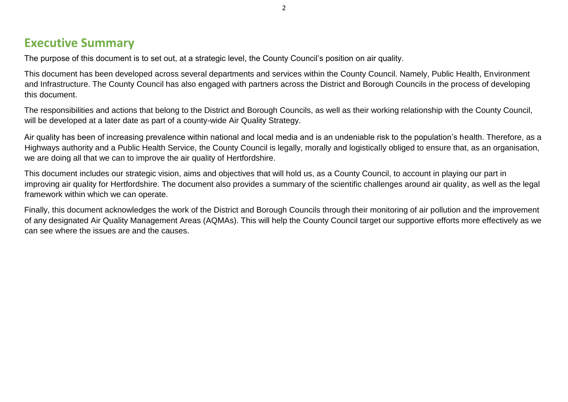#### **Executive Summary**

The purpose of this document is to set out, at a strategic level, the County Council's position on air quality.

This document has been developed across several departments and services within the County Council. Namely, Public Health, Environment and Infrastructure. The County Council has also engaged with partners across the District and Borough Councils in the process of developing this document.

The responsibilities and actions that belong to the District and Borough Councils, as well as their working relationship with the County Council, will be developed at a later date as part of a county-wide Air Quality Strategy.

Air quality has been of increasing prevalence within national and local media and is an undeniable risk to the population's health. Therefore, as a Highways authority and a Public Health Service, the County Council is legally, morally and logistically obliged to ensure that, as an organisation, we are doing all that we can to improve the air quality of Hertfordshire.

This document includes our strategic vision, aims and objectives that will hold us, as a County Council, to account in playing our part in improving air quality for Hertfordshire. The document also provides a summary of the scientific challenges around air quality, as well as the legal framework within which we can operate.

Finally, this document acknowledges the work of the District and Borough Councils through their monitoring of air pollution and the improvement of any designated Air Quality Management Areas (AQMAs). This will help the County Council target our supportive efforts more effectively as we can see where the issues are and the causes.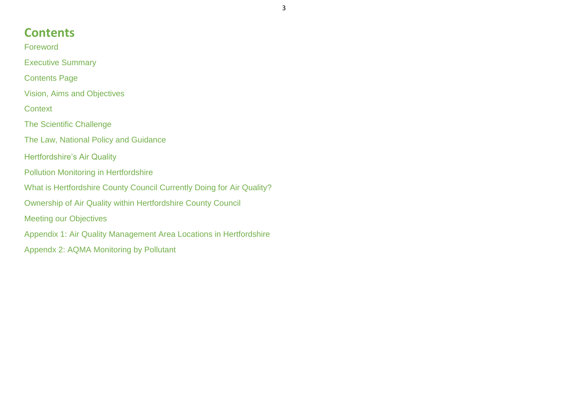#### **Contents**

Foreword

Executive Summary

Contents Page

Vision, Aims and Objectives

**Context** 

The Scientific Challenge

The Law, National Policy and Guidance

Hertfordshire's Air Quality

Pollution Monitoring in Hertfordshire

What is Hertfordshire County Council Currently Doing for Air Quality?

Ownership of Air Quality within Hertfordshire County Council

Meeting our Objectives

Appendix 1: Air Quality Management Area Locations in Hertfordshire

Appendx 2: AQMA Monitoring by Pollutant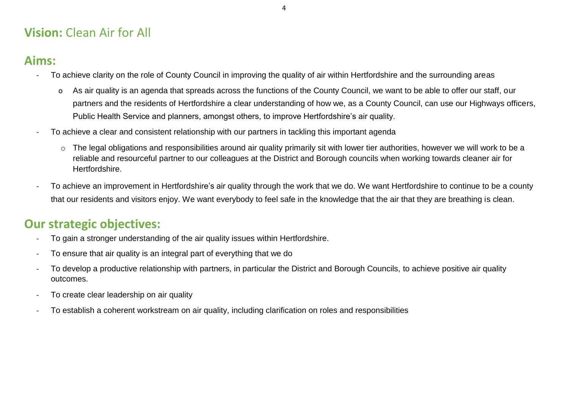## **Vision:** Clean Air for All

#### **Aims:**

- To achieve clarity on the role of County Council in improving the quality of air within Hertfordshire and the surrounding areas
	- o As air quality is an agenda that spreads across the functions of the County Council, we want to be able to offer our staff, our partners and the residents of Hertfordshire a clear understanding of how we, as a County Council, can use our Highways officers, Public Health Service and planners, amongst others, to improve Hertfordshire's air quality.
- To achieve a clear and consistent relationship with our partners in tackling this important agenda
	- o The legal obligations and responsibilities around air quality primarily sit with lower tier authorities, however we will work to be a reliable and resourceful partner to our colleagues at the District and Borough councils when working towards cleaner air for Hertfordshire.
- To achieve an improvement in Hertfordshire's air quality through the work that we do. We want Hertfordshire to continue to be a county that our residents and visitors enjoy. We want everybody to feel safe in the knowledge that the air that they are breathing is clean.

## **Our strategic objectives:**

- To gain a stronger understanding of the air quality issues within Hertfordshire.
- To ensure that air quality is an integral part of everything that we do
- To develop a productive relationship with partners, in particular the District and Borough Councils, to achieve positive air quality outcomes.
- To create clear leadership on air quality
- To establish a coherent workstream on air quality, including clarification on roles and responsibilities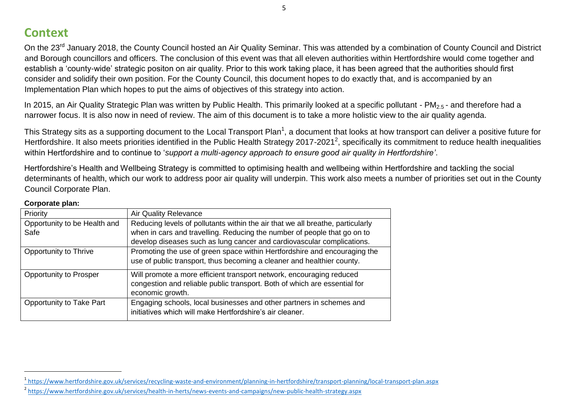#### **Context**

On the 23<sup>rd</sup> January 2018, the County Council hosted an Air Quality Seminar. This was attended by a combination of County Council and District and Borough councillors and officers. The conclusion of this event was that all eleven authorities within Hertfordshire would come together and establish a 'county-wide' strategic positon on air quality. Prior to this work taking place, it has been agreed that the authorities should first consider and solidify their own position. For the County Council, this document hopes to do exactly that, and is accompanied by an Implementation Plan which hopes to put the aims of objectives of this strategy into action.

In 2015, an Air Quality Strategic Plan was written by Public Health. This primarily looked at a specific pollutant - PM<sub>2.5</sub> - and therefore had a narrower focus. It is also now in need of review. The aim of this document is to take a more holistic view to the air quality agenda.

This Strategy sits as a supporting document to the Local Transport Plan<sup>1</sup>, a document that looks at how transport can deliver a positive future for Hertfordshire. It also meets priorities identified in the Public Health Strategy 2017-2021<sup>2</sup>, specifically its commitment to reduce health inequalities within Hertfordshire and to continue to '*support a multi-agency approach to ensure good air quality in Hertfordshire'*.

Hertfordshire's Health and Wellbeing Strategy is committed to optimising health and wellbeing within Hertfordshire and tackling the social determinants of health, which our work to address poor air quality will underpin. This work also meets a number of priorities set out in the County Council Corporate Plan.

| Priority                     | <b>Air Quality Relevance</b>                                                                                                                                          |  |
|------------------------------|-----------------------------------------------------------------------------------------------------------------------------------------------------------------------|--|
| Opportunity to be Health and | Reducing levels of pollutants within the air that we all breathe, particularly                                                                                        |  |
| Safe                         | when in cars and travelling. Reducing the number of people that go on to                                                                                              |  |
|                              | develop diseases such as lung cancer and cardiovascular complications.                                                                                                |  |
| Opportunity to Thrive        | Promoting the use of green space within Hertfordshire and encouraging the<br>use of public transport, thus becoming a cleaner and healthier county.                   |  |
| Opportunity to Prosper       | Will promote a more efficient transport network, encouraging reduced<br>congestion and reliable public transport. Both of which are essential for<br>economic growth. |  |
| Opportunity to Take Part     | Engaging schools, local businesses and other partners in schemes and<br>initiatives which will make Hertfordshire's air cleaner.                                      |  |

#### **Corporate plan:**

 $\overline{a}$ 

<sup>&</sup>lt;sup>1</sup>https://www.hertfordshire.gov.uk/services/recycling-waste-and-environment/planning-in-hertfordshire/transport-planning/local-transport-plan.aspx

<sup>&</sup>lt;sup>2</sup> <https://www.hertfordshire.gov.uk/services/health-in-herts/news-events-and-campaigns/new-public-health-strategy.aspx>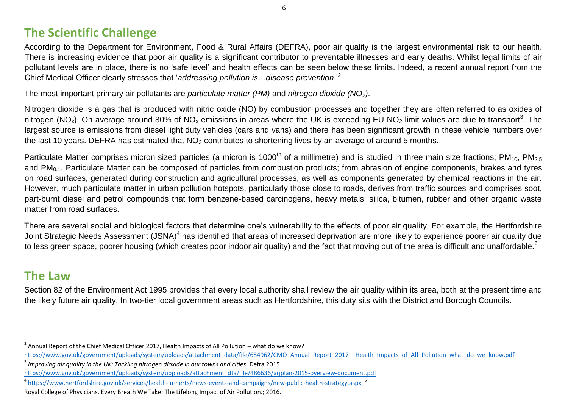#### **The Scientific Challenge**

According to the Department for Environment, Food & Rural Affairs (DEFRA), poor air quality is the largest environmental risk to our health. There is increasing evidence that poor air quality is a significant contributor to preventable illnesses and early deaths. Whilst legal limits of air pollutant levels are in place, there is no 'safe level' and health effects can be seen below these limits. Indeed, a recent annual report from the Chief Medical Officer clearly stresses that '*addressing pollution is…disease prevention*.'<sup>2</sup>

The most important primary air pollutants are *particulate matter (PM)* and *nitrogen dioxide (NO2)*.

Nitrogen dioxide is a gas that is produced with nitric oxide (NO) by combustion processes and together they are often referred to as oxides of nitrogen (NO<sub>x</sub>). On average around 80% of NO<sub>x</sub> emissions in areas where the UK is exceeding EU NO<sub>2</sub> limit values are due to transport<sup>3</sup>. The largest source is emissions from diesel light duty vehicles (cars and vans) and there has been significant growth in these vehicle numbers over the last 10 years. DEFRA has estimated that  $NO<sub>2</sub>$  contributes to shortening lives by an average of around 5 months.

Particulate Matter comprises micron sized particles (a micron is 1000<sup>th</sup> of a millimetre) and is studied in three main size fractions; PM<sub>10</sub>, PM<sub>2.5</sub> and PM<sub>0.1</sub>. Particulate Matter can be composed of particles from combustion products; from abrasion of engine components, brakes and tyres on road surfaces, generated during construction and agricultural processes, as well as components generated by chemical reactions in the air. However, much particulate matter in urban pollution hotspots, particularly those close to roads, derives from traffic sources and comprises soot, part-burnt diesel and petrol compounds that form benzene-based carcinogens, heavy metals, silica, bitumen, rubber and other organic waste matter from road surfaces.

There are several social and biological factors that determine one's vulnerability to the effects of poor air quality. For example, the Hertfordshire Joint Strategic Needs Assessment (JSNA)<sup>4</sup> has identified that areas of increased deprivation are more likely to experience poorer air quality due to less green space, poorer housing (which creates poor indoor air quality) and the fact that moving out of the area is difficult and unaffordable.<sup>6</sup>

#### **The Law**

 $\overline{a}$ 

Section 82 of the Environment Act 1995 provides that every local authority shall review the air quality within its area, both at the present time and the likely future air quality. In two-tier local government areas such as Hertfordshire, this duty sits with the District and Borough Councils.

 $^2$  Annual Report of the Chief Medical Officer 2017, Health Impacts of All Pollution – what do we know?

[https://www.gov.uk/government/uploads/system/uploads/attachment\\_data/file/684962/CMO\\_Annual\\_Report\\_2017\\_\\_Health\\_Impacts\\_of\\_All\\_Pollution\\_what\\_do\\_we\\_know.pdf](https://www.gov.uk/government/uploads/system/uploads/attachment_data/file/684962/CMO_Annual_Report_2017__Health_Impacts_of_All_Pollution_what_do_we_know.pdf)

<sup>3</sup> *Improving air quality in the UK: Tackling nitrogen dioxide in our towns and cities.* Defra 2015.

[https://www.gov.uk/government/uploads/system/upploads/attachment\\_dta/file/486636/aqplan-2015-overview-document.pdf](https://www.gov.uk/government/uploads/system/upploads/attachment_dta/file/486636/aq-plan-2015-overview-document.pdf)

<sup>&</sup>lt;sup>4</sup> <https://www.hertfordshire.gov.uk/services/health-in-herts/news-events-and-campaigns/new-public-health-strategy.aspx> <sup>6</sup>

Royal College of Physicians. Every Breath We Take: The Lifelong Impact of Air Pollution.; 2016.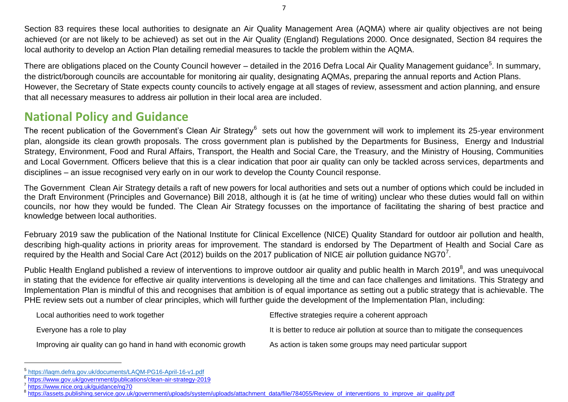Section 83 requires these local authorities to designate an Air Quality Management Area (AQMA) where air quality objectives are not being achieved (or are not likely to be achieved) as set out in the Air Quality (England) Regulations 2000. Once designated, Section 84 requires the local authority to develop an Action Plan detailing remedial measures to tackle the problem within the AQMA.

There are obligations placed on the County Council however – detailed in the 2016 Defra Local Air Quality Management guidance<sup>5</sup>. In summary, the district/borough councils are accountable for monitoring air quality, designating AQMAs, preparing the annual reports and Action Plans. However, the Secretary of State expects county councils to actively engage at all stages of review, assessment and action planning, and ensure that all necessary measures to address air pollution in their local area are included.

#### **National Policy and Guidance**

The recent publication of the Government's Clean Air Strategy<sup>6</sup> sets out how the government will work to implement its 25-year environment plan, alongside its clean growth proposals. The cross government plan is published by the Departments for Business, Energy and Industrial Strategy, Environment, Food and Rural Affairs, Transport, the Health and Social Care, the Treasury, and the Ministry of Housing, Communities and Local Government. Officers believe that this is a clear indication that poor air quality can only be tackled across services, departments and disciplines – an issue recognised very early on in our work to develop the County Council response.

The Government Clean Air Strategy details a raft of new powers for local authorities and sets out a number of options which could be included in the Draft Environment (Principles and Governance) Bill 2018, although it is (at he time of writing) unclear who these duties would fall on within councils, nor how they would be funded. The Clean Air Strategy focusses on the importance of facilitating the sharing of best practice and knowledge between local authorities.

February 2019 saw the publication of the National Institute for Clinical Excellence (NICE) Quality Standard for outdoor air pollution and health, describing high-quality actions in priority areas for improvement. The standard is endorsed by The Department of Health and Social Care as required by the Health and Social Care Act (2012) builds on the 2017 publication of NICE air pollution guidance NG70<sup>7</sup>.

Public Health England published a review of interventions to improve outdoor air quality and public health in March 2019<sup>8</sup>, and was unequivocal in stating that the evidence for effective air quality interventions is developing all the time and can face challenges and limitations. This Strategy and Implementation Plan is mindful of this and recognises that ambition is of equal importance as setting out a public strategy that is achievable. The PHE review sets out a number of clear principles, which will further guide the development of the Implementation Plan, including:

| Local authorities need to work together                        | Effective strategies require a coherent approach                                 |
|----------------------------------------------------------------|----------------------------------------------------------------------------------|
| Everyone has a role to play                                    | It is better to reduce air pollution at source than to mitigate the consequences |
| Improving air quality can go hand in hand with economic growth | As action is taken some groups may need particular support                       |

 $\overline{a}$ 

<sup>5</sup> <https://laqm.defra.gov.uk/documents/LAQM-PG16-April-16-v1.pdf>

<sup>6</sup> <https://www.gov.uk/government/publications/clean-air-strategy-2019>

<sup>7</sup> <https://www.nice.org.uk/guidance/ng70>

<sup>&</sup>lt;sup>8</sup> [https://assets.publishing.service.gov.uk/government/uploads/system/uploads/attachment\\_data/file/784055/Review\\_of\\_interventions\\_to\\_improve\\_air\\_quality.pdf](https://assets.publishing.service.gov.uk/government/uploads/system/uploads/attachment_data/file/784055/Review_of_interventions_to_improve_air_quality.pdf)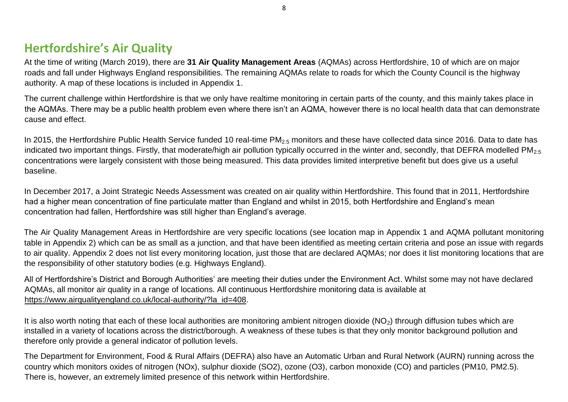#### **Hertfordshire's Air Quality**

At the time of writing (March 2019), there are **31 Air Quality Management Areas** (AQMAs) across Hertfordshire, 10 of which are on major roads and fall under Highways England responsibilities. The remaining AQMAs relate to roads for which the County Council is the highway authority. A map of these locations is included in Appendix 1.

The current challenge within Hertfordshire is that we only have realtime monitoring in certain parts of the county, and this mainly takes place in the AQMAs. There may be a public health problem even where there isn't an AQMA, however there is no local health data that can demonstrate cause and effect.

In 2015, the Hertfordshire Public Health Service funded 10 real-time PM<sub>2.5</sub> monitors and these have collected data since 2016. Data to date has indicated two important things. Firstly, that moderate/high air pollution typically occurred in the winter and, secondly, that DEFRA modelled PM<sub>2.5</sub> concentrations were largely consistent with those being measured. This data provides limited interpretive benefit but does give us a useful baseline.

In December 2017, a Joint Strategic Needs Assessment was created on air quality within Hertfordshire. This found that in 2011, Hertfordshire had a higher mean concentration of fine particulate matter than England and whilst in 2015, both Hertfordshire and England's mean concentration had fallen, Hertfordshire was still higher than England's average.

The Air Quality Management Areas in Hertfordshire are very specific locations (see location map in Appendix 1 and AQMA pollutant monitoring table in Appendix 2) which can be as small as a junction, and that have been identified as meeting certain criteria and pose an issue with regards to air quality. Appendix 2 does not list every monitoring location, just those that are declared AQMAs; nor does it list monitoring locations that are the responsibility of other statutory bodies (e.g. Highways England).

All of Hertfordshire's District and Borough Authorities' are meeting their duties under the Environment Act. Whilst some may not have declared AQMAs, all monitor air quality in a range of locations. All continuous Hertfordshire monitoring data is available at [https://www.airqualityengland.co.uk/local-authority/?la\\_id=408.](https://www.airqualityengland.co.uk/local-authority/?la_id=408)

It is also worth noting that each of these local authorities are monitoring ambient nitrogen dioxide ( $NO<sub>2</sub>$ ) through diffusion tubes which are installed in a variety of locations across the district/borough. A weakness of these tubes is that they only monitor background pollution and therefore only provide a general indicator of pollution levels.

The Department for Environment, Food & Rural Affairs (DEFRA) also have an Automatic Urban and Rural Network (AURN) running across the country which monitors oxides of nitrogen (NOx), sulphur dioxide (SO2), ozone (O3), carbon monoxide (CO) and particles (PM10, PM2.5). There is, however, an extremely limited presence of this network within Hertfordshire.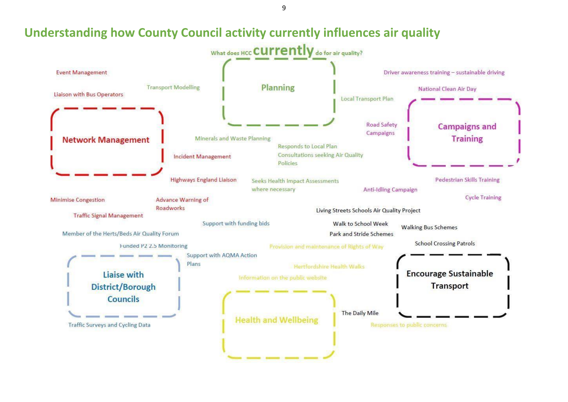9

## **Understanding how County Council activity currently influences air quality**

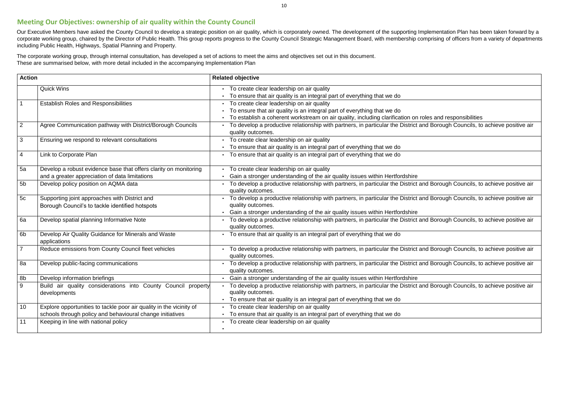10

s and responsibilities Borough Councils, to achieve positive air Borough Councils, to achieve positive air Borough Councils, to achieve positive air Borough Councils, to achieve positive air Borough Councils, to achieve positive air Borough Councils, to achieve positive air Borough Councils, to achieve positive air

#### **Meeting Our Objectives: ownership of air quality within the County Council**

Our Executive Members have asked the County Council to develop a strategic position on air quality, which is corporately owned. The development of the supporting Implementation Plan has been taken forward by a corporate working group, chaired by the Director of Public Health. This group reports progress to the County Council Strategic Management Board, with membership comprising of officers from a variety of departments including Public Health, Highways, Spatial Planning and Property.

The corporate working group, through internal consultation, has developed a set of actions to meet the aims and objectives set out in this document. These are summarised below, with more detail included in the accompanying Implementation Plan

| <b>Action</b>  |                                                                                                                                  | <b>Related objective</b>                                                                                                                                                                                    |
|----------------|----------------------------------------------------------------------------------------------------------------------------------|-------------------------------------------------------------------------------------------------------------------------------------------------------------------------------------------------------------|
|                | <b>Quick Wins</b>                                                                                                                | • To create clear leadership on air quality<br>To ensure that air quality is an integral part of everything that we do                                                                                      |
|                | <b>Establish Roles and Responsibilities</b>                                                                                      | To create clear leadership on air quality<br>To ensure that air quality is an integral part of everything that we do<br>To establish a coherent workstream on air quality, including clarification on role: |
| $\overline{2}$ | Agree Communication pathway with District/Borough Councils                                                                       | To develop a productive relationship with partners, in particular the District and<br>quality outcomes.                                                                                                     |
| 3              | Ensuring we respond to relevant consultations                                                                                    | To create clear leadership on air quality<br>To ensure that air quality is an integral part of everything that we do                                                                                        |
| 4              | Link to Corporate Plan                                                                                                           | To ensure that air quality is an integral part of everything that we do                                                                                                                                     |
| 5a             | Develop a robust evidence base that offers clarity on monitoring<br>and a greater appreciation of data limitations               | To create clear leadership on air quality<br>Gain a stronger understanding of the air quality issues within Hertfordshire                                                                                   |
| 5 <sub>b</sub> | Develop policy position on AQMA data                                                                                             | To develop a productive relationship with partners, in particular the District and<br>quality outcomes.                                                                                                     |
| 5c             | Supporting joint approaches with District and<br>Borough Council's to tackle identified hotspots                                 | To develop a productive relationship with partners, in particular the District and<br>quality outcomes.<br>Gain a stronger understanding of the air quality issues within Hertfordshire                     |
| 6a             | Develop spatial planning Informative Note                                                                                        | To develop a productive relationship with partners, in particular the District and<br>quality outcomes.                                                                                                     |
| 6 <sub>b</sub> | Develop Air Quality Guidance for Minerals and Waste<br>applications                                                              | To ensure that air quality is an integral part of everything that we do                                                                                                                                     |
| $\overline{7}$ | Reduce emissions from County Council fleet vehicles                                                                              | To develop a productive relationship with partners, in particular the District and<br>quality outcomes.                                                                                                     |
| 8a             | Develop public-facing communications                                                                                             | To develop a productive relationship with partners, in particular the District and<br>quality outcomes.                                                                                                     |
| 8b             | Develop information briefings                                                                                                    | Gain a stronger understanding of the air quality issues within Hertfordshire                                                                                                                                |
| 9              | Build air quality considerations into County Council property<br>developments                                                    | To develop a productive relationship with partners, in particular the District and<br>quality outcomes.<br>To ensure that air quality is an integral part of everything that we do<br>$\blacksquare$        |
| 10             | Explore opportunities to tackle poor air quality in the vicinity of<br>schools through policy and behavioural change initiatives | To create clear leadership on air quality<br>To ensure that air quality is an integral part of everything that we do                                                                                        |
| 11             | Keeping in line with national policy                                                                                             | To create clear leadership on air quality                                                                                                                                                                   |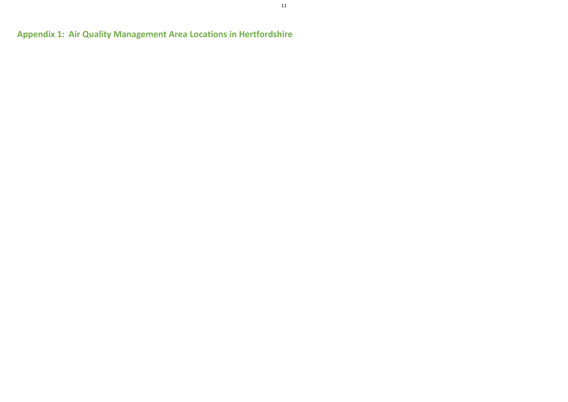**Appendix 1: Air Quality Management Area Locations in Hertfordshire**